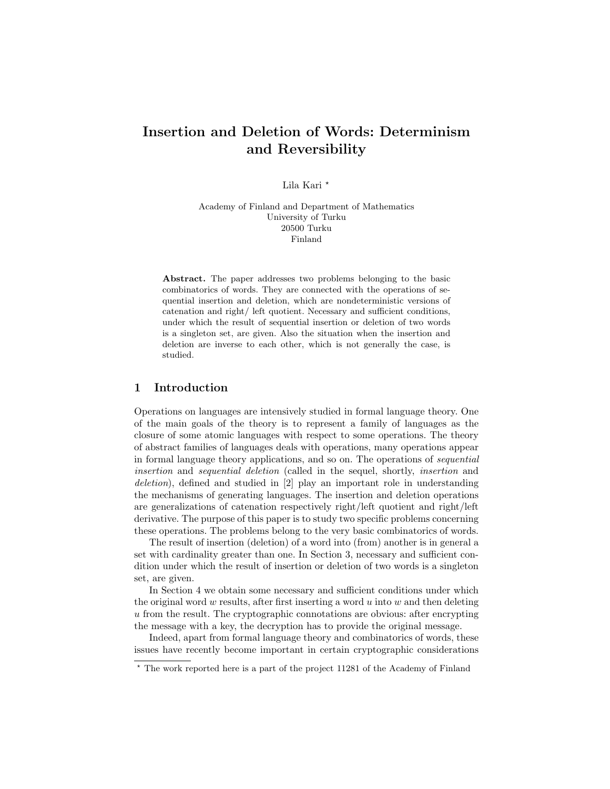# Insertion and Deletion of Words: Determinism and Reversibility

Lila Kari \*

Academy of Finland and Department of Mathematics University of Turku 20500 Turku Finland

Abstract. The paper addresses two problems belonging to the basic combinatorics of words. They are connected with the operations of sequential insertion and deletion, which are nondeterministic versions of catenation and right/ left quotient. Necessary and sufficient conditions, under which the result of sequential insertion or deletion of two words is a singleton set, are given. Also the situation when the insertion and deletion are inverse to each other, which is not generally the case, is studied.

# 1 Introduction

Operations on languages are intensively studied in formal language theory. One of the main goals of the theory is to represent a family of languages as the closure of some atomic languages with respect to some operations. The theory of abstract families of languages deals with operations, many operations appear in formal language theory applications, and so on. The operations of sequential insertion and sequential deletion (called in the sequel, shortly, insertion and deletion), defined and studied in [2] play an important role in understanding the mechanisms of generating languages. The insertion and deletion operations are generalizations of catenation respectively right/left quotient and right/left derivative. The purpose of this paper is to study two specific problems concerning these operations. The problems belong to the very basic combinatorics of words.

The result of insertion (deletion) of a word into (from) another is in general a set with cardinality greater than one. In Section 3, necessary and sufficient condition under which the result of insertion or deletion of two words is a singleton set, are given.

In Section 4 we obtain some necessary and sufficient conditions under which the original word  $w$  results, after first inserting a word  $u$  into  $w$  and then deleting u from the result. The cryptographic connotations are obvious: after encrypting the message with a key, the decryption has to provide the original message.

Indeed, apart from formal language theory and combinatorics of words, these issues have recently become important in certain cryptographic considerations

<sup>?</sup> The work reported here is a part of the project 11281 of the Academy of Finland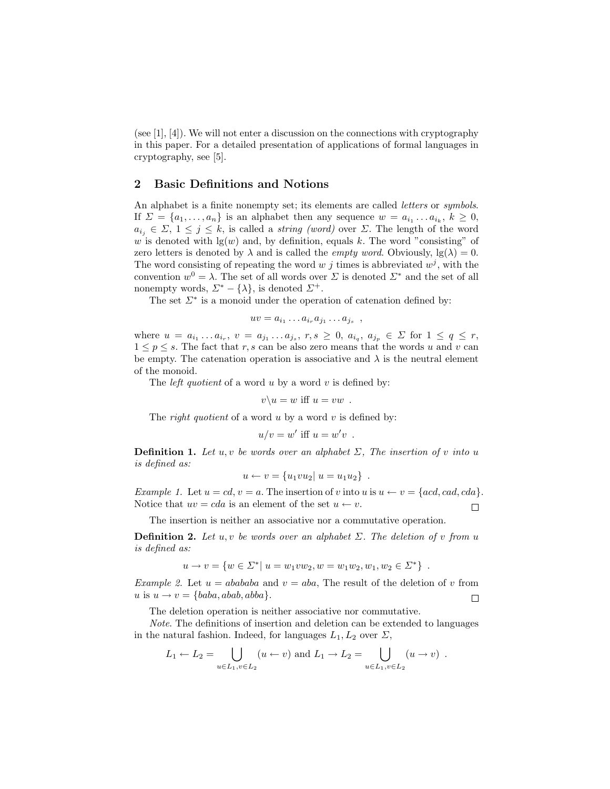(see  $[1], [4]$ ). We will not enter a discussion on the connections with cryptography in this paper. For a detailed presentation of applications of formal languages in cryptography, see [5].

#### 2 Basic Definitions and Notions

An alphabet is a finite nonempty set; its elements are called *letters* or *symbols*. If  $\Sigma = \{a_1, \ldots, a_n\}$  is an alphabet then any sequence  $w = a_{i_1} \ldots a_{i_k}, k \geq 0$ ,  $a_{i_j} \in \Sigma$ ,  $1 \leq j \leq k$ , is called a *string (word)* over  $\Sigma$ . The length of the word w is denoted with  $lg(w)$  and, by definition, equals k. The word "consisting" of zero letters is denoted by  $\lambda$  and is called the *empty word*. Obviously,  $\lg(\lambda) = 0$ . The word consisting of repeating the word  $w j$  times is abbreviated  $w^j$ , with the convention  $w^0 = \lambda$ . The set of all words over  $\Sigma$  is denoted  $\Sigma^*$  and the set of all nonempty words,  $\Sigma^* - {\lambda}$ , is denoted  $\Sigma^+$ .

The set  $\Sigma^*$  is a monoid under the operation of catenation defined by:

$$
uv = a_{i_1} \dots a_{i_r} a_{j_1} \dots a_{j_s} ,
$$

where  $u = a_{i_1} \ldots a_{i_r}, v = a_{j_1} \ldots a_{j_s}, r, s \ge 0, a_{i_q}, a_{j_p} \in \Sigma$  for  $1 \le q \le r$ ,  $1 \leq p \leq s$ . The fact that r, s can be also zero means that the words u and v can be empty. The catenation operation is associative and  $\lambda$  is the neutral element of the monoid.

The *left quotient* of a word  $u$  by a word  $v$  is defined by:

$$
v\backslash u=w \text{ iff } u=vw .
$$

The *right quotient* of a word  $u$  by a word  $v$  is defined by:

$$
u/v = w' \text{ iff } u = w'v \enspace .
$$

**Definition 1.** Let u, v be words over an alphabet  $\Sigma$ . The insertion of v into u is defined as:

$$
u \leftarrow v = \{u_1vu_2 | u = u_1u_2\} .
$$

Example 1. Let  $u = cd, v = a$ . The insertion of v into  $u$  is  $u \leftarrow v = \{acd, cad, cda\}.$ Notice that  $uv = cda$  is an element of the set  $u \leftarrow v$ .  $\Box$ 

The insertion is neither an associative nor a commutative operation.

**Definition 2.** Let u, v be words over an alphabet  $\Sigma$ . The deletion of v from u is defined as:

$$
u \to v = \{ w \in \Sigma^* | u = w_1 v w_2, w = w_1 w_2, w_1, w_2 \in \Sigma^* \} .
$$

Example 2. Let  $u = abababa$  and  $v = aba$ , The result of the deletion of v from u is  $u \rightarrow v = \{baba, abab, abba\}.$  $\Box$ 

The deletion operation is neither associative nor commutative.

Note. The definitions of insertion and deletion can be extended to languages in the natural fashion. Indeed, for languages  $L_1, L_2$  over  $\Sigma$ ,

$$
L_1 \leftarrow L_2 = \bigcup_{u \in L_1, v \in L_2} (u \leftarrow v)
$$
 and  $L_1 \rightarrow L_2 = \bigcup_{u \in L_1, v \in L_2} (u \rightarrow v)$ .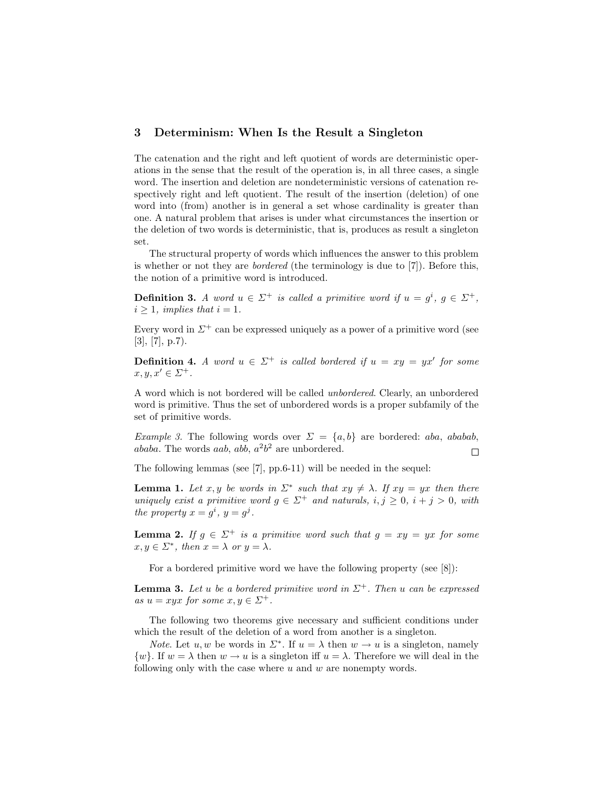#### 3 Determinism: When Is the Result a Singleton

The catenation and the right and left quotient of words are deterministic operations in the sense that the result of the operation is, in all three cases, a single word. The insertion and deletion are nondeterministic versions of catenation respectively right and left quotient. The result of the insertion (deletion) of one word into (from) another is in general a set whose cardinality is greater than one. A natural problem that arises is under what circumstances the insertion or the deletion of two words is deterministic, that is, produces as result a singleton set.

The structural property of words which influences the answer to this problem is whether or not they are *bordered* (the terminology is due to  $[7]$ ). Before this, the notion of a primitive word is introduced.

**Definition 3.** A word  $u \in \Sigma^+$  is called a primitive word if  $u = g^i$ ,  $g \in \Sigma^+$ ,  $i \geq 1$ , implies that  $i = 1$ .

Every word in  $\Sigma^+$  can be expressed uniquely as a power of a primitive word (see  $[3], [7], p.7$ .

**Definition 4.** A word  $u \in \Sigma^+$  is called bordered if  $u = xy = yx'$  for some  $x, y, x' \in \Sigma^+$ .

A word which is not bordered will be called unbordered. Clearly, an unbordered word is primitive. Thus the set of unbordered words is a proper subfamily of the set of primitive words.

*Example 3.* The following words over  $\Sigma = \{a, b\}$  are bordered: aba, ababab, ababa. The words aab, abb,  $a^2b^2$  are unbordered.  $\Box$ 

The following lemmas (see [7], pp.6-11) will be needed in the sequel:

**Lemma 1.** Let x, y be words in  $\Sigma^*$  such that  $xy \neq \lambda$ . If  $xy = yx$  then there uniquely exist a primitive word  $g \in \Sigma^+$  and naturals,  $i, j \geq 0$ ,  $i + j > 0$ , with the property  $x = g^i$ ,  $y = g^j$ .

**Lemma 2.** If  $g \in \Sigma^+$  is a primitive word such that  $g = xy = yx$  for some  $x, y \in \Sigma^*$ , then  $x = \lambda$  or  $y = \lambda$ .

For a bordered primitive word we have the following property (see [8]):

**Lemma 3.** Let u be a bordered primitive word in  $\Sigma^+$ . Then u can be expressed as  $u = xyz$  for some  $x, y \in \Sigma^{+}$ .

The following two theorems give necessary and sufficient conditions under which the result of the deletion of a word from another is a singleton.

*Note.* Let  $u, w$  be words in  $\Sigma^*$ . If  $u = \lambda$  then  $w \to u$  is a singleton, namely  $\{w\}$ . If  $w = \lambda$  then  $w \to u$  is a singleton iff  $u = \lambda$ . Therefore we will deal in the following only with the case where  $u$  and  $w$  are nonempty words.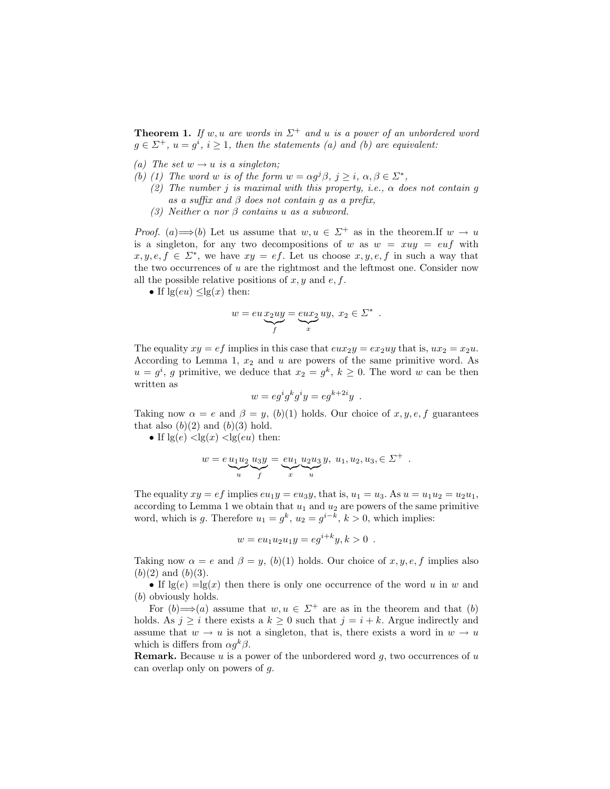**Theorem 1.** If w, u are words in  $\Sigma^+$  and u is a power of an unbordered word  $g \in \Sigma^{+}$ ,  $u = g^{i}$ ,  $i \geq 1$ , then the statements (a) and (b) are equivalent:

- (a) The set  $w \rightarrow u$  is a singleton;
- (b) (1) The word w is of the form  $w = \alpha g^{j} \beta$ ,  $j \geq i$ ,  $\alpha, \beta \in \Sigma^*$ ,
	- (2) The number j is maximal with this property, i.e.,  $\alpha$  does not contain q as a suffix and  $\beta$  does not contain q as a prefix,
	- (3) Neither  $\alpha$  nor  $\beta$  contains u as a subword.

*Proof.* (a)  $\Longrightarrow$  (b) Let us assume that  $w, u \in \Sigma^+$  as in the theorem. If  $w \to u$ is a singleton, for any two decompositions of w as  $w = xuy = eu f$  with  $x, y, e, f \in \Sigma^*$ , we have  $xy = ef$ . Let us choose  $x, y, e, f$  in such a way that the two occurrences of  $u$  are the rightmost and the leftmost one. Consider now all the possible relative positions of  $x, y$  and  $e, f$ .

• If  $\lg(eu) < \lg(x)$  then:

$$
w = eu\underbrace{xy}{f} = \underbrace{eux_2}_{x}uy, x_2 \in \Sigma^*
$$

.

The equality  $xy = ef$  implies in this case that  $eux_2y = ex_2uy$  that is,  $ux_2 = x_2u$ . According to Lemma 1,  $x_2$  and  $u$  are powers of the same primitive word. As  $u = g^i$ , g primitive, we deduce that  $x_2 = g^k$ ,  $k \geq 0$ . The word w can be then written as

$$
w = eg^i g^k g^i y = eg^{k+2i} y .
$$

Taking now  $\alpha = e$  and  $\beta = y$ , (b)(1) holds. Our choice of x, y, e, f guarantees that also  $(b)(2)$  and  $(b)(3)$  hold.

• If  $\lg(e)$   $\lt$   $\lg(x)$   $\lt$   $\lg(eu)$  then:

$$
w = e \underbrace{u_1 u_2}_{u} \underbrace{u_3 y}_{f} = \underbrace{e u_1}_{x} \underbrace{u_2 u_3}_{u} y, \ u_1, u_2, u_3, \in \Sigma^+ .
$$

The equality  $xy = ef$  implies  $eu_1y = eu_3y$ , that is,  $u_1 = u_3$ . As  $u = u_1u_2 = u_2u_1$ , according to Lemma 1 we obtain that  $u_1$  and  $u_2$  are powers of the same primitive word, which is g. Therefore  $u_1 = g^k$ ,  $u_2 = g^{i-k}$ ,  $k > 0$ , which implies:

$$
w = e u_1 u_2 u_1 y = e g^{i+k} y, k > 0.
$$

Taking now  $\alpha = e$  and  $\beta = y$ , (b)(1) holds. Our choice of x, y, e, f implies also  $(b)(2)$  and  $(b)(3)$ .

• If  $\lg(e) = \lg(x)$  then there is only one occurrence of the word u in w and (b) obviously holds.

For  $(b) \Longrightarrow (a)$  assume that  $w, u \in \Sigma^+$  are as in the theorem and that  $(b)$ holds. As  $j \geq i$  there exists a  $k \geq 0$  such that  $j = i + k$ . Argue indirectly and assume that  $w \to u$  is not a singleton, that is, there exists a word in  $w \to u$ which is differs from  $\alpha g^k \beta$ .

**Remark.** Because  $u$  is a power of the unbordered word  $g$ , two occurrences of  $u$ can overlap only on powers of g.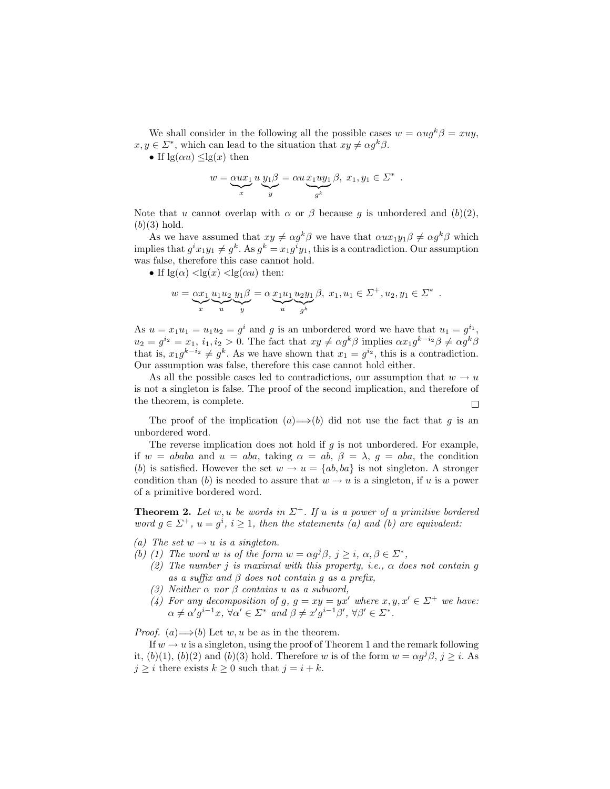We shall consider in the following all the possible cases  $w = \alpha u q^k \beta = xuu$ ,  $x, y \in \Sigma^*$ , which can lead to the situation that  $xy \neq \alpha g^k \beta$ .

• If  $\lg(\alpha u) \leq \lg(x)$  then

$$
w = \underbrace{\alpha ux_1}_{x} u \underbrace{y_1 \beta}_{y} = \alpha u \underbrace{x_1 uy_1}_{g^k} \beta, x_1, y_1 \in \Sigma^*.
$$

Note that u cannot overlap with  $\alpha$  or  $\beta$  because g is unbordered and  $(b)(2)$ ,  $(b)(3)$  hold.

As we have assumed that  $xy \neq \alpha g^k \beta$  we have that  $\alpha u x_1 y_1 \beta \neq \alpha g^k \beta$  which implies that  $g^ix_1y_1 \neq g^k$ . As  $g^k = x_1g^iy_1$ , this is a contradiction. Our assumption was false, therefore this case cannot hold.

• If  $\lg(\alpha)$  <  $\lg(x)$  <  $\lg(\alpha u)$  then:

$$
w = \underbrace{\alpha x_1}_{x} \underbrace{u_1 u_2}_{u} \underbrace{y_1 \beta}_{y} = \underbrace{\alpha x_1 u_1}_{u} \underbrace{u_2 y_1}_{g^k} \beta, \ x_1, u_1 \in \Sigma^+, u_2, y_1 \in \Sigma^*.
$$

As  $u = x_1 u_1 = u_1 u_2 = g^i$  and g is an unbordered word we have that  $u_1 = g^{i_1}$ ,  $u_2 = g^{i_2} = x_1, i_1, i_2 > 0.$  The fact that  $xy \neq \alpha g^k \beta$  implies  $\alpha x_1 g^{k-i_2} \beta \neq \alpha g^k \beta$ that is,  $x_1 g^{k-i_2} \neq g^k$ . As we have shown that  $x_1 = g^{i_2}$ , this is a contradiction. Our assumption was false, therefore this case cannot hold either.

As all the possible cases led to contradictions, our assumption that  $w \to u$ is not a singleton is false. The proof of the second implication, and therefore of the theorem, is complete.  $\Box$ 

The proof of the implication  $(a) \implies (b)$  did not use the fact that g is an unbordered word.

The reverse implication does not hold if  $g$  is not unbordered. For example, if  $w = ababa$  and  $u = aba$ , taking  $\alpha = ab$ ,  $\beta = \lambda$ ,  $g = aba$ , the condition (b) is satisfied. However the set  $w \to u = \{ab, ba\}$  is not singleton. A stronger condition than (b) is needed to assure that  $w \to u$  is a singleton, if u is a power of a primitive bordered word.

**Theorem 2.** Let w, u be words in  $\Sigma^+$ . If u is a power of a primitive bordered word  $g \in \Sigma^+$ ,  $u = g^i$ ,  $i \geq 1$ , then the statements (a) and (b) are equivalent:

- (a) The set  $w \rightarrow u$  is a singleton.
- (b) (1) The word w is of the form  $w = \alpha g^{j} \beta$ ,  $j \geq i$ ,  $\alpha, \beta \in \Sigma^*$ ,
	- (2) The number j is maximal with this property, i.e.,  $\alpha$  does not contain g as a suffix and  $\beta$  does not contain q as a prefix,
	- (3) Neither  $\alpha$  nor  $\beta$  contains u as a subword,
	- (4) For any decomposition of g,  $g = xy = yx'$  where  $x, y, x' \in \Sigma^+$  we have:  $\alpha \neq \alpha' g^{i-1}x, \,\forall \alpha' \in \Sigma^* \text{ and } \beta \neq x' g^{i-1} \beta', \,\forall \beta' \in \Sigma^*.$

*Proof.* (a)  $\Longrightarrow$  (b) Let w, u be as in the theorem.

If  $w \to u$  is a singleton, using the proof of Theorem 1 and the remark following it,  $(b)(1)$ ,  $(b)(2)$  and  $(b)(3)$  hold. Therefore w is of the form  $w = \alpha g^j \beta$ ,  $j \geq i$ . As  $j \geq i$  there exists  $k \geq 0$  such that  $j = i + k$ .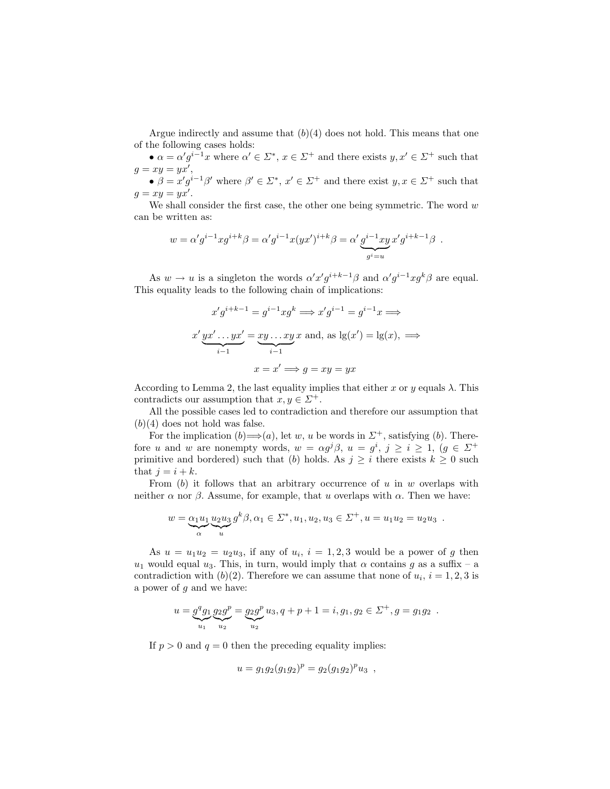Argue indirectly and assume that  $(b)(4)$  does not hold. This means that one of the following cases holds:

•  $\alpha = \alpha' g^{i-1} x$  where  $\alpha' \in \Sigma^*$ ,  $x \in \Sigma^+$  and there exists  $y, x' \in \Sigma^+$  such that  $g = xy = yx',$ 

•  $\beta = x'g^{i-1}\beta'$  where  $\beta' \in \Sigma^*$ ,  $x' \in \Sigma^+$  and there exist  $y, x \in \Sigma^+$  such that  $g = xy = yx'.$ 

We shall consider the first case, the other one being symmetric. The word  $w$ can be written as:

$$
w = \alpha' g^{i-1} x g^{i+k} \beta = \alpha' g^{i-1} x (yx')^{i+k} \beta = \alpha' \underbrace{g^{i-1} xy}_{g^i = u} x' g^{i+k-1} \beta.
$$

As  $w \to u$  is a singleton the words  $\alpha' x' g^{i+k-1} \beta$  and  $\alpha' g^{i-1} x g^k \beta$  are equal. This equality leads to the following chain of implications:

$$
x'g^{i+k-1} = g^{i-1}xg^k \Longrightarrow x'g^{i-1} = g^{i-1}x \Longrightarrow
$$
  

$$
x' yx' \dots yx' = xy \dots xyx
$$
 and, as  $lg(x') = lg(x), \Longrightarrow$   

$$
x = x' \Longrightarrow g = xy = yx
$$

According to Lemma 2, the last equality implies that either x or y equals  $\lambda$ . This contradicts our assumption that  $x, y \in \Sigma^+$ .

All the possible cases led to contradiction and therefore our assumption that  $(b)(4)$  does not hold was false.

For the implication  $(b) \Longrightarrow(a)$ , let w, u be words in  $\Sigma^+$ , satisfying  $(b)$ . Therefore u and w are nonempty words,  $w = \alpha g^{j} \beta$ ,  $u = g^{i}$ ,  $j \geq i \geq 1$ ,  $(g \in \Sigma^{+})$ primitive and bordered) such that (b) holds. As  $j \geq i$  there exists  $k \geq 0$  such that  $j = i + k$ .

From  $(b)$  it follows that an arbitrary occurrence of u in w overlaps with neither  $\alpha$  nor  $\beta$ . Assume, for example, that u overlaps with  $\alpha$ . Then we have:

$$
w = \underbrace{\alpha_1 u_1}_{\alpha} \underbrace{u_2 u_3}_{u} g^k \beta, \alpha_1 \in \Sigma^*, u_1, u_2, u_3 \in \Sigma^+, u = u_1 u_2 = u_2 u_3.
$$

As  $u = u_1 u_2 = u_2 u_3$ , if any of  $u_i$ ,  $i = 1, 2, 3$  would be a power of g then  $u_1$  would equal  $u_3$ . This, in turn, would imply that  $\alpha$  contains g as a suffix – a contradiction with  $(b)(2)$ . Therefore we can assume that none of  $u_i$ ,  $i = 1, 2, 3$  is a power of  $g$  and we have:

$$
u = gqg1 g2gp = g2gp u3, q + p + 1 = i, g1, g2 \in \Sigma+, g = g1g2.
$$

If  $p > 0$  and  $q = 0$  then the preceding equality implies:

$$
u = g_1 g_2 (g_1 g_2)^p = g_2 (g_1 g_2)^p u_3 ,
$$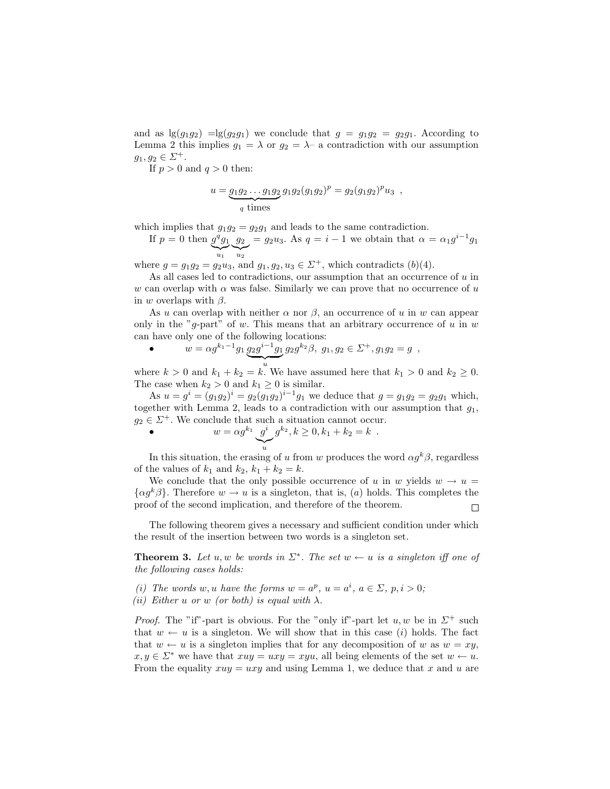and as  $\lg(g_1g_2) = \lg(g_2g_1)$  we conclude that  $g = g_1g_2 = g_2g_1$ . According to Lemma 2 this implies  $g_1 = \lambda$  or  $g_2 = \lambda$ - a contradiction with our assumption  $g_1, g_2 \in \Sigma^+$ .

If  $p > 0$  and  $q > 0$  then:

$$
u = \underbrace{g_1 g_2 \dots g_1 g_2}_{q \text{ times}} g_1 g_2 (g_1 g_2)^p = g_2 (g_1 g_2)^p u_3 ,
$$

which implies that  $g_1g_2 = g_2g_1$  and leads to the same contradiction.

If  $p = 0$  then  $g^q g_1$   $g_2 = g_2 u_3$ . As  $q = i - 1$  we obtain that  $\alpha = \alpha_1 g^{i-1} g_1$  $\sum_{u_1}$  $u_1$  $\sum_{u_2}$  $u_2$ 

where  $g = g_1 g_2 = g_2 u_3$ , and  $g_1, g_2, u_3 \in \Sigma^+$ , which contradicts  $(b)(4)$ .

As all cases led to contradictions, our assumption that an occurrence of  $u$  in w can overlap with  $\alpha$  was false. Similarly we can prove that no occurrence of u in w overlaps with  $\beta$ .

As u can overlap with neither  $\alpha$  nor  $\beta$ , an occurrence of u in w can appear only in the "g-part" of w. This means that an arbitrary occurrence of u in  $w$ can have only one of the following locations:

• 
$$
w = \alpha g^{k_1 - 1} g_1 \underbrace{g_2 g^{i-1} g_1}_{\cdot} g_2 g^{k_2} \beta, \ g_1, g_2 \in \Sigma^+, g_1 g_2 = g \ ,
$$

where  $k > 0$  and  $k_1 + k_2 = k$ . We have assumed here that  $k_1 > 0$  and  $k_2 \geq 0$ . The case when  $k_2 > 0$  and  $k_1 \geq 0$  is similar.

As  $u = g^i = (g_1g_2)^i = g_2(g_1g_2)^{i-1}g_1$  we deduce that  $g = g_1g_2 = g_2g_1$  which, together with Lemma 2, leads to a contradiction with our assumption that  $g_1$ ,  $g_2 \in \mathbb{Z}^+$ . We conclude that such a situation cannot occur.

• 
$$
w = \alpha g^{k_1} \underbrace{g^i}_{u} g^{k_2}, k \ge 0, k_1 + k_2 = k
$$
.

In this situation, the erasing of u from w produces the word  $\alpha g^k \beta$ , regardless of the values of  $k_1$  and  $k_2$ ,  $k_1 + k_2 = k$ .

We conclude that the only possible occurrence of u in w yields  $w \rightarrow u =$  $\{\alpha g^k \beta\}$ . Therefore  $w \to u$  is a singleton, that is, (a) holds. This completes the proof of the second implication, and therefore of the theorem.  $\Box$ 

The following theorem gives a necessary and sufficient condition under which the result of the insertion between two words is a singleton set.

**Theorem 3.** Let u, w be words in  $\Sigma^*$ . The set  $w \leftarrow u$  is a singleton iff one of the following cases holds:

(i) The words w, u have the forms  $w = a^p$ ,  $u = a^i$ ,  $a \in \Sigma$ ,  $p, i > 0$ ; (ii) Either u or w (or both) is equal with  $\lambda$ .

*Proof.* The "if"-part is obvious. For the "only if"-part let  $u, w$  be in  $\Sigma^+$  such that  $w \leftarrow u$  is a singleton. We will show that in this case (i) holds. The fact that  $w \leftarrow u$  is a singleton implies that for any decomposition of w as  $w = xy$ ,  $x, y \in \Sigma^*$  we have that  $xuy = uxy = xyu$ , all being elements of the set  $w \leftarrow u$ . From the equality  $xuy = uxy$  and using Lemma 1, we deduce that x and u are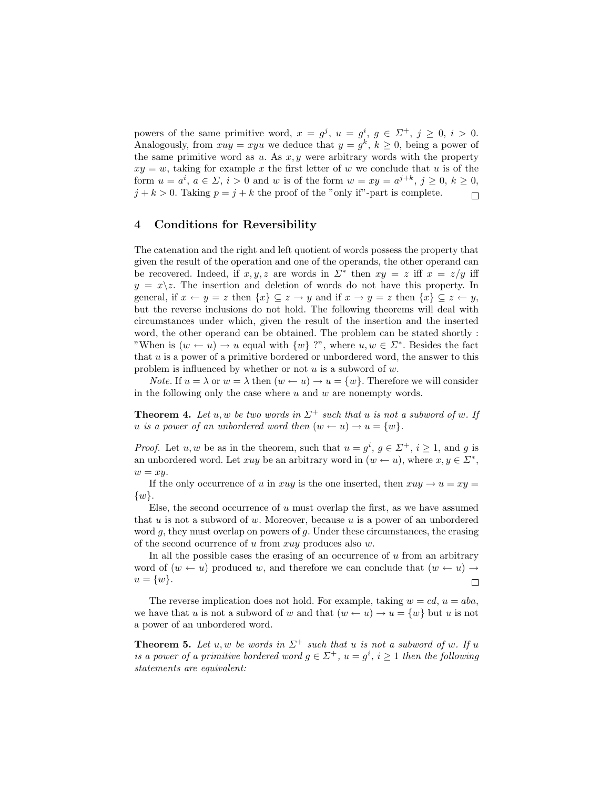powers of the same primitive word,  $x = g^j$ ,  $u = g^i$ ,  $g \in \Sigma^+$ ,  $j \geq 0$ ,  $i > 0$ . Analogously, from  $xuy = xyu$  we deduce that  $y = g^k$ ,  $k \geq 0$ , being a power of the same primitive word as  $u$ . As  $x, y$  were arbitrary words with the property  $xy = w$ , taking for example x the first letter of w we conclude that u is of the form  $u = a^i$ ,  $a \in \Sigma$ ,  $i > 0$  and w is of the form  $w = xy = a^{j+k}$ ,  $j \ge 0$ ,  $k \ge 0$ ,  $j + k > 0$ . Taking  $p = j + k$  the proof of the "only if"-part is complete.  $\Box$ 

# 4 Conditions for Reversibility

The catenation and the right and left quotient of words possess the property that given the result of the operation and one of the operands, the other operand can be recovered. Indeed, if  $x, y, z$  are words in  $\Sigma^*$  then  $xy = z$  iff  $x = z/y$  iff  $y = x \setminus z$ . The insertion and deletion of words do not have this property. In general, if  $x \leftarrow y = z$  then  $\{x\} \subseteq z \rightarrow y$  and if  $x \rightarrow y = z$  then  $\{x\} \subseteq z \leftarrow y$ , but the reverse inclusions do not hold. The following theorems will deal with circumstances under which, given the result of the insertion and the inserted word, the other operand can be obtained. The problem can be stated shortly : "When is  $(w \leftarrow u) \rightarrow u$  equal with  $\{w\}$  ?", where  $u, w \in \Sigma^*$ . Besides the fact that  $u$  is a power of a primitive bordered or unbordered word, the answer to this problem is influenced by whether or not  $u$  is a subword of  $w$ .

*Note.* If  $u = \lambda$  or  $w = \lambda$  then  $(w \leftarrow u) \rightarrow u = \{w\}$ . Therefore we will consider in the following only the case where  $u$  and  $w$  are nonempty words.

**Theorem 4.** Let u, w be two words in  $\Sigma^+$  such that u is not a subword of w. If u is a power of an unbordered word then  $(w \leftarrow u) \rightarrow u = \{w\}.$ 

*Proof.* Let u, w be as in the theorem, such that  $u = g^i$ ,  $g \in \Sigma^+$ ,  $i \ge 1$ , and g is an unbordered word. Let xuy be an arbitrary word in  $(w \leftarrow u)$ , where  $x, y \in \Sigma^*$ ,  $w = xy$ .

If the only occurrence of u in xuy is the one inserted, then  $xuy \rightarrow u = xy =$  $\{w\}.$ 

Else, the second occurrence of  $u$  must overlap the first, as we have assumed that  $u$  is not a subword of  $w$ . Moreover, because  $u$  is a power of an unbordered word  $g$ , they must overlap on powers of  $g$ . Under these circumstances, the erasing of the second ocurrence of u from  $xuy$  produces also w.

In all the possible cases the erasing of an occurrence of  $u$  from an arbitrary word of  $(w \leftarrow u)$  produced w, and therefore we can conclude that  $(w \leftarrow u) \rightarrow$  $u = \{w\}.$  $\Box$ 

The reverse implication does not hold. For example, taking  $w = cd$ ,  $u = aba$ , we have that u is not a subword of w and that  $(w \leftarrow u) \rightarrow u = \{w\}$  but u is not a power of an unbordered word.

**Theorem 5.** Let u, w be words in  $\Sigma^+$  such that u is not a subword of w. If u is a power of a primitive bordered word  $g \in \Sigma^{+}$ ,  $u = g^{i}$ ,  $i \geq 1$  then the following statements are equivalent: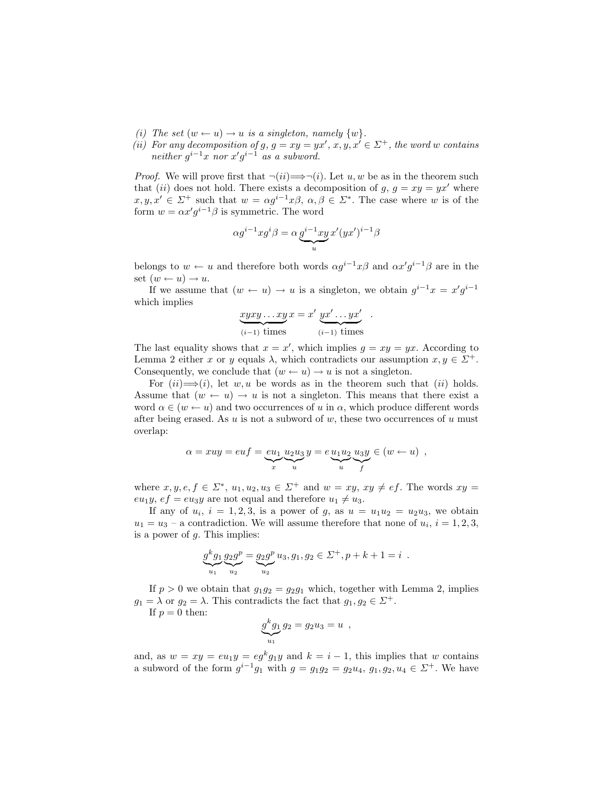- (i) The set  $(w \leftarrow u) \rightarrow u$  is a singleton, namely  $\{w\}$ .
- (ii) For any decomposition of g,  $g = xy = yx'$ ,  $x, y, x' \in \Sigma^{+}$ , the word w contains neither  $g^{i-1}x$  nor  $x'g^{i-1}$  as a subword.

*Proof.* We will prove first that  $\neg(ii) \Longrightarrow \neg(i)$ . Let u, w be as in the theorem such that (ii) does not hold. There exists a decomposition of  $g, g = xy = yx'$  where  $x, y, x' \in \Sigma^+$  such that  $w = \alpha g^{i-1}x\beta, \ \alpha, \beta \in \Sigma^*$ . The case where w is of the form  $w = \alpha x' g^{i-1} \beta$  is symmetric. The word

$$
\alpha g^{i-1} x g^i \beta = \alpha \underbrace{g^{i-1} x y}_{u} x'(yx')^{i-1} \beta
$$

belongs to  $w \leftarrow u$  and therefore both words  $\alpha g^{i-1}x\beta$  and  $\alpha x'g^{i-1}\beta$  are in the set  $(w \leftarrow u) \rightarrow u$ .

If we assume that  $(w \leftarrow u) \rightarrow u$  is a singleton, we obtain  $g^{i-1}x = x'g^{i-1}$ which implies

$$
\underbrace{xyxy\ldots xy}_{(i-1) \text{ times}}x = x' \underbrace{yx'\ldots yx'}_{(i-1) \text{ times}}.
$$

The last equality shows that  $x = x'$ , which implies  $g = xy = yx$ . According to Lemma 2 either x or y equals  $\lambda$ , which contradicts our assumption  $x, y \in \Sigma^{+}$ . Consequently, we conclude that  $(w \leftarrow u) \rightarrow u$  is not a singleton.

For  $(ii) \implies (i)$ , let w, u be words as in the theorem such that  $(ii)$  holds. Assume that  $(w \leftarrow u) \rightarrow u$  is not a singleton. This means that there exist a word  $\alpha \in (w \leftarrow u)$  and two occurrences of u in  $\alpha$ , which produce different words after being erased. As  $u$  is not a subword of  $w$ , these two occurrences of  $u$  must overlap:

$$
\alpha = xuy = euf = \underbrace{eu_1}_{x} \underbrace{u_2 u_3}_{u} y = e \underbrace{u_1 u_2}_{u} \underbrace{u_3 y}_{f} \in (w \leftarrow u) ,
$$

where  $x, y, e, f \in \Sigma^*$ ,  $u_1, u_2, u_3 \in \Sigma^+$  and  $w = xy$ ,  $xy \neq ef$ . The words  $xy =$ eu<sub>1</sub>y,  $ef = e u_3y$  are not equal and therefore  $u_1 \neq u_3$ .

If any of  $u_i$ ,  $i = 1, 2, 3$ , is a power of g, as  $u = u_1u_2 = u_2u_3$ , we obtain  $u_1 = u_3$  – a contradiction. We will assume therefore that none of  $u_i$ ,  $i = 1, 2, 3$ , is a power of  $q$ . This implies:

$$
g^{k}g_{1}g_{2}g^{p} = g_{2}g^{p}u_{3}, g_{1}, g_{2} \in \Sigma^{+}, p+k+1 = i.
$$

If  $p > 0$  we obtain that  $q_1 q_2 = q_2 q_1$  which, together with Lemma 2, implies  $g_1 = \lambda$  or  $g_2 = \lambda$ . This contradicts the fact that  $g_1, g_2 \in \Sigma^+$ .

If  $p = 0$  then:

$$
g^k g_1 g_2 = g_2 u_3 = u ,
$$

and, as  $w = xy = eu_1y = eg^k g_1y$  and  $k = i - 1$ , this implies that w contains a subword of the form  $g^{i-1}g_1$  with  $g = g_1g_2 = g_2u_4, g_1, g_2, u_4 \in \Sigma^+$ . We have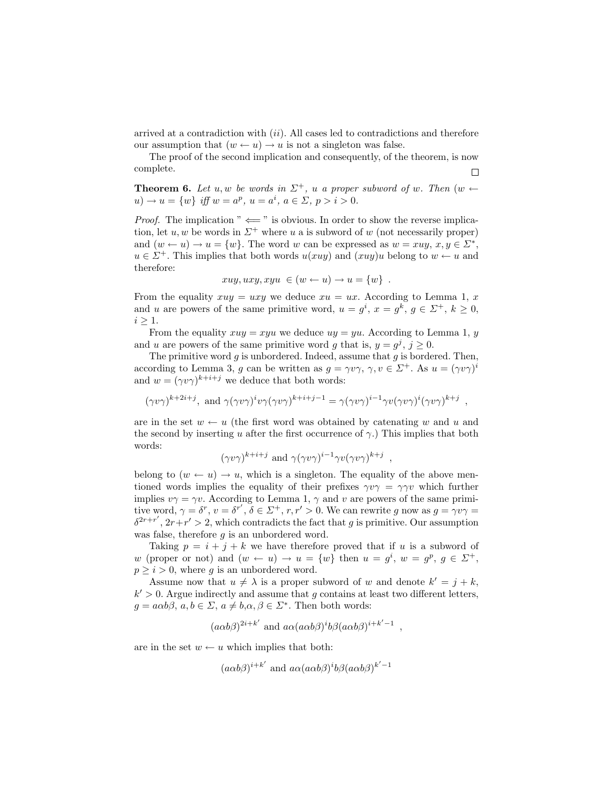arrived at a contradiction with  $(ii)$ . All cases led to contradictions and therefore our assumption that  $(w \leftarrow u) \rightarrow u$  is not a singleton was false.

The proof of the second implication and consequently, of the theorem, is now complete.  $\Box$ 

**Theorem 6.** Let u, w be words in  $\Sigma^+$ , u a proper subword of w. Then  $(w \leftarrow$  $u) \to u = \{w\}$  iff  $w = a^p$ ,  $u = a^i$ ,  $a \in \Sigma$ ,  $p > i > 0$ .

*Proof.* The implication "  $\Leftarrow$  " is obvious. In order to show the reverse implication, let u, w be words in  $\Sigma^+$  where u a is subword of w (not necessarily proper) and  $(w \leftarrow u) \rightarrow u = \{w\}$ . The word w can be expressed as  $w = xuy, x, y \in \Sigma^*$ ,  $u \in \Sigma^{+}$ . This implies that both words  $u(xuy)$  and  $(xuy)u$  belong to  $w \leftarrow u$  and therefore:

$$
xuy, uxy, xyu \in (w \leftarrow u) \rightarrow u = \{w\} .
$$

From the equality  $xuy = uxy$  we deduce  $xu = ux$ . According to Lemma 1, x and u are powers of the same primitive word,  $u = g^i$ ,  $x = g^k$ ,  $g \in \Sigma^+$ ,  $k \geq 0$ ,  $i \geq 1$ .

From the equality  $xuy = xyu$  we deduce  $uy = yu$ . According to Lemma 1, y and u are powers of the same primitive word g that is,  $y = g^j$ ,  $j \ge 0$ .

The primitive word  $g$  is unbordered. Indeed, assume that  $g$  is bordered. Then, according to Lemma 3, g can be written as  $g = \gamma v \gamma$ ,  $\gamma, v \in \Sigma^{+}$ . As  $u = (\gamma v \gamma)^{i}$ and  $w = (\gamma v \gamma)^{k+i+j}$  we deduce that both words:

$$
(\gamma v\gamma)^{k+2i+j}
$$
, and  $\gamma(\gamma v\gamma)^i v\gamma(\gamma v\gamma)^{k+i+j-1} = \gamma(\gamma v\gamma)^{i-1}\gamma v(\gamma v\gamma)^i(\gamma v\gamma)^{k+j}$ ,

are in the set  $w \leftarrow u$  (the first word was obtained by catenating w and u and the second by inserting u after the first occurrence of  $\gamma$ .) This implies that both words:

$$
(\gamma v \gamma)^{k+i+j}
$$
 and  $\gamma (\gamma v \gamma)^{i-1} \gamma v (\gamma v \gamma)^{k+j}$ 

,

belong to  $(w \leftarrow u) \rightarrow u$ , which is a singleton. The equality of the above mentioned words implies the equality of their prefixes  $\gamma v \gamma = \gamma \gamma v$  which further implies  $v\gamma = \gamma v$ . According to Lemma 1,  $\gamma$  and v are powers of the same primitive word,  $\gamma = \delta^r$ ,  $v = \delta^{r'}$ ,  $\delta \in \Sigma^+$ ,  $r, r' > 0$ . We can rewrite g now as  $g = \gamma v \gamma =$  $\delta^{2r+r'}$ ,  $2r+r' > 2$ , which contradicts the fact that g is primitive. Our assumption was false, therefore  $q$  is an unbordered word.

Taking  $p = i + j + k$  we have therefore proved that if u is a subword of w (proper or not) and  $(w \leftarrow u) \rightarrow u = \{w\}$  then  $u = g^i$ ,  $w = g^p$ ,  $g \in \Sigma^+$ ,  $p \geq i > 0$ , where g is an unbordered word.

Assume now that  $u \neq \lambda$  is a proper subword of w and denote  $k' = j + k$ ,  $k' > 0$ . Argue indirectly and assume that g contains at least two different letters,  $g = a\alpha b\beta, a, b \in \Sigma, a \neq b, \alpha, \beta \in \Sigma^*$ . Then both words:

$$
(a\alpha b\beta)^{2i+k'}
$$
 and  $a\alpha(a\alpha b\beta)^i b\beta(a\alpha b\beta)^{i+k'-1}$ ,

are in the set  $w \leftarrow u$  which implies that both:

$$
(a\alpha b\beta)^{i+k'}
$$
 and  $a\alpha(a\alpha b\beta)^{i}b\beta(a\alpha b\beta)^{k'-1}$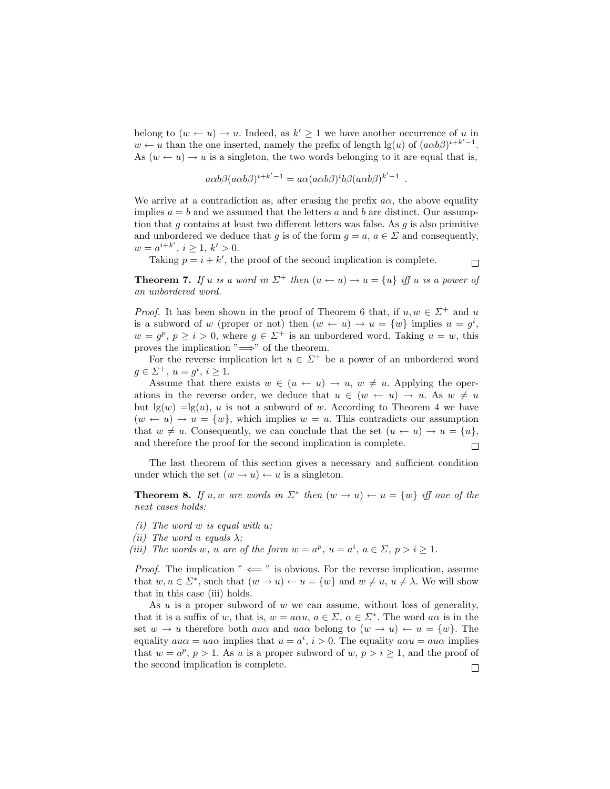belong to  $(w \leftarrow u) \rightarrow u$ . Indeed, as  $k' \geq 1$  we have another occurrence of u in  $w \leftarrow u$  than the one inserted, namely the prefix of length  $\lg(u)$  of  $(a\alpha b\beta)^{i+k'-1}$ . As  $(w \leftarrow u) \rightarrow u$  is a singleton, the two words belonging to it are equal that is,

$$
a\alpha b\beta (a\alpha b\beta)^{i+k'-1} = a\alpha (a\alpha b\beta)^i b\beta (a\alpha b\beta)^{k'-1}
$$

We arrive at a contradiction as, after erasing the prefix  $a\alpha$ , the above equality implies  $a = b$  and we assumed that the letters a and b are distinct. Our assumption that  $g$  contains at least two different letters was false. As  $g$  is also primitive and unbordered we deduce that g is of the form  $g = a, a \in \Sigma$  and consequently,  $w = a^{i+k'}$ ,  $i \ge 1$ ,  $k' > 0$ .

Taking  $p = i + k'$ , the proof of the second implication is complete.

 $\Box$ 

.

**Theorem 7.** If u is a word in  $\Sigma^+$  then  $(u \leftarrow u) \rightarrow u = \{u\}$  iff u is a power of an unbordered word.

*Proof.* It has been shown in the proof of Theorem 6 that, if  $u, w \in \Sigma^+$  and u is a subword of w (proper or not) then  $(w \leftarrow u) \rightarrow u = \{w\}$  implies  $u = g^i$ ,  $w = g^p, p \ge i > 0$ , where  $g \in \Sigma^+$  is an unbordered word. Taking  $u = w$ , this proves the implication " $\Longrightarrow$ " of the theorem.

For the reverse implication let  $u \in \Sigma^+$  be a power of an unbordered word  $g \in \Sigma^+, u = g^i, i \geq 1.$ 

Assume that there exists  $w \in (u \leftarrow u) \rightarrow u$ ,  $w \neq u$ . Applying the operations in the reverse order, we deduce that  $u \in (w \leftarrow u) \rightarrow u$ . As  $w \neq u$ but  $\lg(w) = \lg(u)$ , u is not a subword of w. According to Theorem 4 we have  $(w \leftarrow u) \rightarrow u = \{w\}$ , which implies  $w = u$ . This contradicts our assumption that  $w \neq u$ . Consequently, we can conclude that the set  $(u \leftarrow u) \rightarrow u = \{u\},\$ and therefore the proof for the second implication is complete.  $\Box$ 

The last theorem of this section gives a necessary and sufficient condition under which the set  $(w \rightarrow u) \leftarrow u$  is a singleton.

**Theorem 8.** If u, w are words in  $\Sigma^*$  then  $(w \rightarrow u) \leftarrow u = \{w\}$  iff one of the next cases holds:

- (i) The word  $w$  is equal with  $u$ ;
- (*ii*) The word u equals  $\lambda$ ;

(iii) The words w, u are of the form  $w = a^p$ ,  $u = a^i$ ,  $a \in \Sigma$ ,  $p > i \ge 1$ .

*Proof.* The implication "  $\Leftarrow$  " is obvious. For the reverse implication, assume that  $w, u \in \Sigma^*$ , such that  $(w \to u) \leftarrow u = \{w\}$  and  $w \neq u, u \neq \lambda$ . We will show that in this case (iii) holds.

As u is a proper subword of w we can assume, without loss of generality, that it is a suffix of w, that is,  $w = a\alpha u, a \in \Sigma$ ,  $\alpha \in \Sigma^*$ . The word  $a\alpha$  is in the set  $w \to u$  therefore both aux and uax belong to  $(w \to u) \leftarrow u = \{w\}$ . The equality  $au\alpha = ua\alpha$  implies that  $u = a^i$ ,  $i > 0$ . The equality  $a\alpha u = au\alpha$  implies that  $w = a^p$ ,  $p > 1$ . As u is a proper subword of  $w, p > i \ge 1$ , and the proof of the second implication is complete. $\Box$